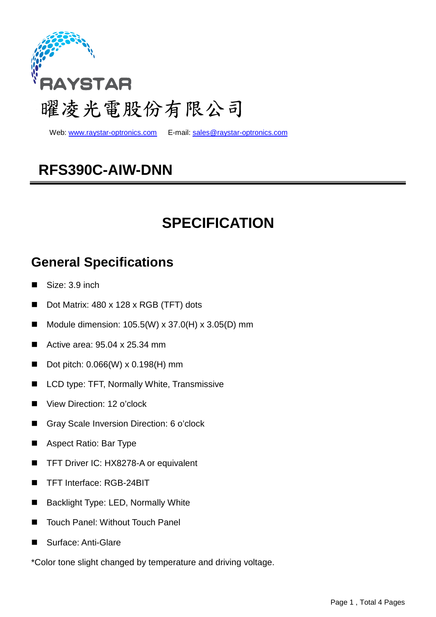

Web: www.raystar-optronics.com E-mail: sales@raystar-optronics.com

## **RFS390C-AIW-DNN**

## **SPECIFICATION**

### **General Specifications**

- Size: 3.9 inch
- Dot Matrix: 480 x 128 x RGB (TFT) dots
- Module dimension: 105.5(W) x 37.0(H) x 3.05(D) mm
- Active area:  $95.04 \times 25.34 \text{ mm}$
- Dot pitch:  $0.066(W) \times 0.198(H)$  mm
- LCD type: TFT, Normally White, Transmissive
- View Direction: 12 o'clock
- Gray Scale Inversion Direction: 6 o'clock
- Aspect Ratio: Bar Type
- TFT Driver IC: HX8278-A or equivalent
- TFT Interface: RGB-24BIT
- Backlight Type: LED, Normally White
- Touch Panel: Without Touch Panel
- Surface: Anti-Glare

\*Color tone slight changed by temperature and driving voltage.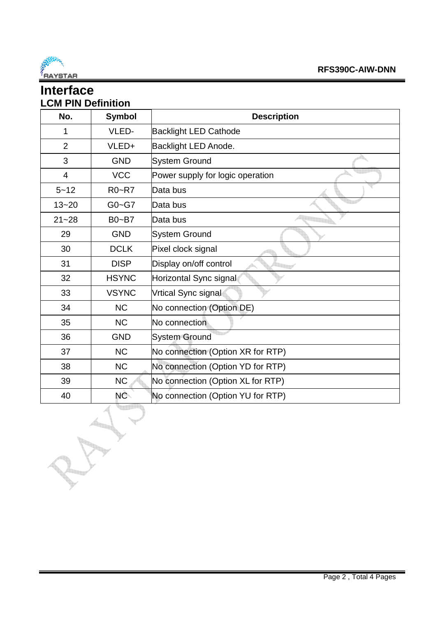

### **Interface LCM PIN Definition**  No. Symbol **No.** Description 1 | VLED- Backlight LED Cathode 2 | VLED+ Backlight LED Anode. 3 | GND System Ground 4 VCC Power supply for logic operation 5~12 R0~R7 Data bus 13~20 G0~G7 Data bus 21~28 | B0~B7 | Data bus 29 | GND System Ground 30 DCLK Pixel clock signal

| $21 - 28$ | $Bo-87$      | Data bus                          |
|-----------|--------------|-----------------------------------|
| 29        | <b>GND</b>   | <b>System Ground</b>              |
| 30        | <b>DCLK</b>  | Pixel clock signal                |
| 31        | <b>DISP</b>  | Display on/off control            |
| 32        | <b>HSYNC</b> | Horizontal Sync signal            |
| 33        | <b>VSYNC</b> | Vrtical Sync signal               |
| 34        | <b>NC</b>    | No connection (Option DE)         |
| 35        | <b>NC</b>    | No connection                     |
| 36        | <b>GND</b>   | <b>System Ground</b>              |
| 37        | <b>NC</b>    | No connection (Option XR for RTP) |
| 38        | <b>NC</b>    | No connection (Option YD for RTP) |
| 39        | <b>NC</b>    | No connection (Option XL for RTP) |
| 40        | NC-          | No connection (Option YU for RTP) |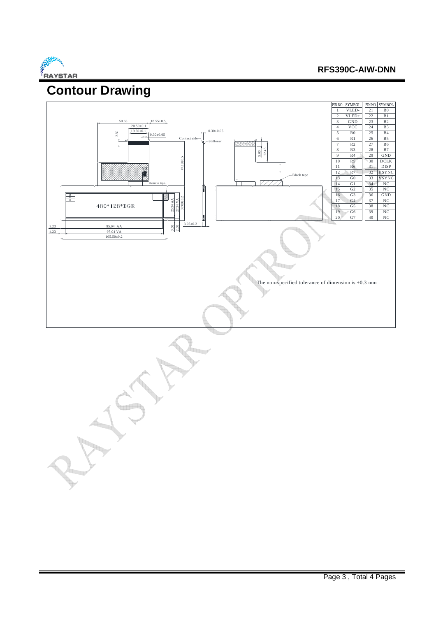

#### **RFS390C-AIW-DNN**

## **Contour Drawing**